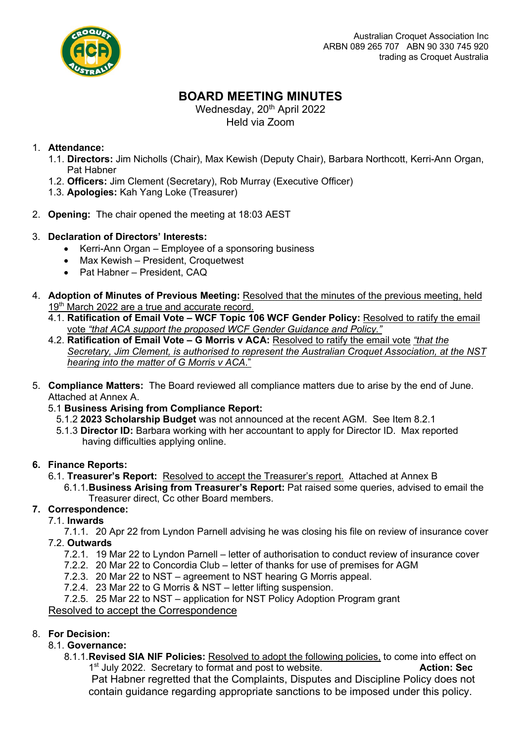

# **BOARD MEETING MINUTES**

Wednesday, 20<sup>th</sup> April 2022 Held via Zoom

## 1. **Attendance:**

- 1.1. **Directors:** Jim Nicholls (Chair), Max Kewish (Deputy Chair), Barbara Northcott, Kerri-Ann Organ, Pat Habner
- 1.2. **Officers:** Jim Clement (Secretary), Rob Murray (Executive Officer)
- 1.3. **Apologies:** Kah Yang Loke (Treasurer)
- 2. **Opening:** The chair opened the meeting at 18:03 AEST

## 3. **Declaration of Directors' Interests:**

- Kerri-Ann Organ Employee of a sponsoring business
- Max Kewish President, Croquetwest
- Pat Habner President, CAQ
- 4. **Adoption of Minutes of Previous Meeting:** Resolved that the minutes of the previous meeting, held 19<sup>th</sup> March 2022 are a true and accurate record.
	- 4.1. **Ratification of Email Vote – WCF Topic 106 WCF Gender Policy:** Resolved to ratify the email vote *"that ACA support the proposed WCF Gender Guidance and Policy."*
	- 4.2. **Ratification of Email Vote – G Morris v ACA:** Resolved to ratify the email vote *"that the Secretary, Jim Clement, is authorised to represent the Australian Croquet Association, at the NST hearing into the matter of G Morris v ACA*."
- 5. **Compliance Matters:** The Board reviewed all compliance matters due to arise by the end of June. Attached at Annex A.
	- 5.1 **Business Arising from Compliance Report:** 
		- 5.1.2 **2023 Scholarship Budget** was not announced at the recent AGM. See Item 8.2.1
		- 5.1.3 **Director ID:** Barbara working with her accountant to apply for Director ID. Max reported having difficulties applying online.

### **6. Finance Reports:**

6.1. **Treasurer's Report:** Resolved to accept the Treasurer's report. Attached at Annex B 6.1.1.**Business Arising from Treasurer's Report:** Pat raised some queries, advised to email the Treasurer direct, Cc other Board members.

# **7. Correspondence:**

7.1. **Inwards**

7.1.1. 20 Apr 22 from Lyndon Parnell advising he was closing his file on review of insurance cover 7.2. **Outwards**

- 7.2.1. 19 Mar 22 to Lyndon Parnell letter of authorisation to conduct review of insurance cover
- 7.2.2. 20 Mar 22 to Concordia Club letter of thanks for use of premises for AGM
- 7.2.3. 20 Mar 22 to NST agreement to NST hearing G Morris appeal.
- 7.2.4. 23 Mar 22 to G Morris & NST letter lifting suspension.
- 7.2.5. 25 Mar 22 to NST application for NST Policy Adoption Program grant

### Resolved to accept the Correspondence

# 8. **For Decision:**

- 8.1. **Governance:**
	- 8.1.1.**Revised SIA NIF Policies:** Resolved to adopt the following policies, to come into effect on 1st July 2022. Secretary to format and post to website. **Action: Sec**

Pat Habner regretted that the Complaints, Disputes and Discipline Policy does not contain guidance regarding appropriate sanctions to be imposed under this policy.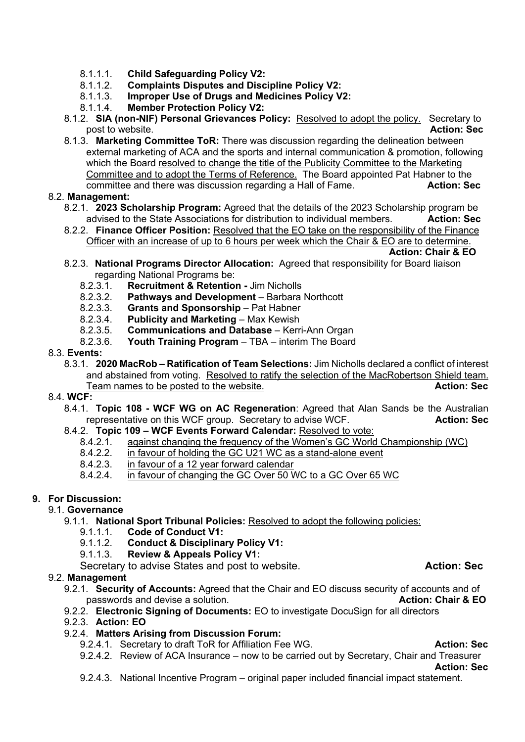- 8.1.1.1. **Child Safeguarding Policy V2:**
- 8.1.1.2. **Complaints Disputes and Discipline Policy V2:**
- 8.1.1.3. **Improper Use of Drugs and Medicines Policy V2:**
- 8.1.1.4. **Member Protection Policy V2:**
- 8.1.2. **SIA (non-NIF) Personal Grievances Policy:** Resolved to adopt the policy. Secretary to post to website. **Action: Sec**
- 8.1.3. **Marketing Committee ToR:** There was discussion regarding the delineation between external marketing of ACA and the sports and internal communication & promotion, following which the Board resolved to change the title of the Publicity Committee to the Marketing Committee and to adopt the Terms of Reference. The Board appointed Pat Habner to the committee and there was discussion regarding a Hall of Fame. **Action: Sec**

### 8.2. **Management:**

- 8.2.1. **2023 Scholarship Program:** Agreed that the details of the 2023 Scholarship program be advised to the State Associations for distribution to individual members. **Action: Sec**
- 8.2.2. **Finance Officer Position:** Resolved that the EO take on the responsibility of the Finance Officer with an increase of up to  $6$  hours per week which the Chair & EO are to determine.

**Action: Chair & EO**

- 8.2.3. **National Programs Director Allocation:** Agreed that responsibility for Board liaison regarding National Programs be:
	- 8.2.3.1. **Recruitment & Retention -** Jim Nicholls
	- 8.2.3.2. **Pathways and Development** Barbara Northcott
	- 8.2.3.3. **Grants and Sponsorship** Pat Habner
	- 8.2.3.4. **Publicity and Marketing** Max Kewish
	- 8.2.3.5. **Communications and Database** Kerri-Ann Organ
	- 8.2.3.6. **Youth Training Program** TBA interim The Board
- 8.3. **Events:**
	- 8.3.1. **2020 MacRob – Ratification of Team Selections:** Jim Nicholls declared a conflict of interest and abstained from voting. Resolved to ratify the selection of the MacRobertson Shield team. Team names to be posted to the website. **Action: Sec Action: Sec**

### 8.4. **WCF:**

- 8.4.1. **Topic 108 - WCF WG on AC Regeneration**: Agreed that Alan Sands be the Australian representative on this WCF group. Secretary to advise WCF. **Action: Sec**
- 8.4.2. **Topic 109 – WCF Events Forward Calendar:** Resolved to vote:
	- 8.4.2.1. against changing the frequency of the Women's GC World Championship (WC)
	- 8.4.2.2. in favour of holding the GC U21 WC as a stand-alone event
	- 8.4.2.3. in favour of a 12 year forward calendar
	- 8.4.2.4. in favour of changing the GC Over 50 WC to a GC Over 65 WC

## **9. For Discussion:**

#### 9.1. **Governance**

- 9.1.1. **National Sport Tribunal Policies:** Resolved to adopt the following policies:
	- 9.1.1.1. **Code of Conduct V1:**
	- 9.1.1.2. **Conduct & Disciplinary Policy V1:**
	- 9.1.1.3. **Review & Appeals Policy V1:**

Secretary to advise States and post to website. **Action: Sec Action: Sec** 

### 9.2. **Management**

- 9.2.1. **Security of Accounts:** Agreed that the Chair and EO discuss security of accounts and of passwords and devise a solution. **Action: Chair & EO**
- 9.2.2. **Electronic Signing of Documents:** EO to investigate DocuSign for all directors
- 9.2.3. **Action: EO**

### 9.2.4. **Matters Arising from Discussion Forum:**

- 9.2.4.1. Secretary to draft ToR for Affiliation Fee WG. **Action: Sec Action: Sec**
- 9.2.4.2. Review of ACA Insurance now to be carried out by Secretary, Chair and Treasurer

**Action: Sec**

9.2.4.3. National Incentive Program – original paper included financial impact statement.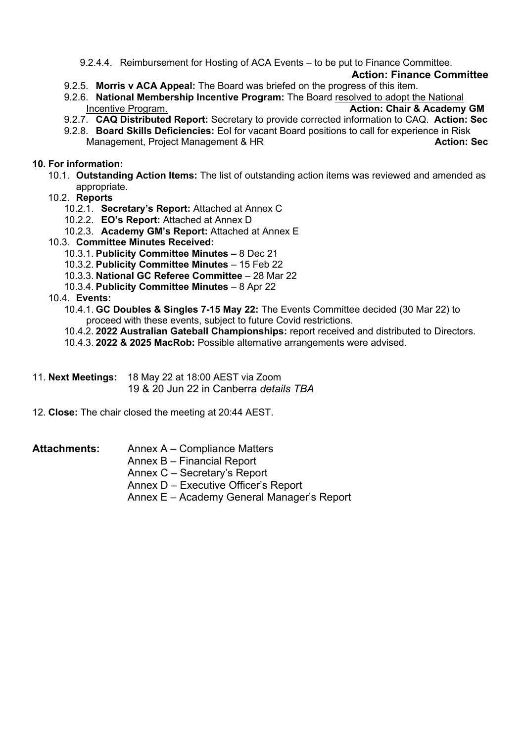9.2.4.4. Reimbursement for Hosting of ACA Events – to be put to Finance Committee.

### **Action: Finance Committee**

- 9.2.5. **Morris v ACA Appeal:** The Board was briefed on the progress of this item.
- 9.2.6. **National Membership Incentive Program:** The Board resolved to adopt the National Incentive Program. **Action: Chair & Academy GM**
- 9.2.7. **CAQ Distributed Report:** Secretary to provide corrected information to CAQ. **Action: Sec**
- 9.2.8. **Board Skills Deficiencies:** EoI for vacant Board positions to call for experience in Risk Management, Project Management & HR **Action: Sec** Action: Sec

### **10. For information:**

- 10.1. **Outstanding Action Items:** The list of outstanding action items was reviewed and amended as appropriate.
- 10.2. **Reports**
	- 10.2.1. **Secretary's Report:** Attached at Annex C
	- 10.2.2. **EO's Report:** Attached at Annex D
	- 10.2.3. **Academy GM's Report:** Attached at Annex E
- 10.3. **Committee Minutes Received:**
	- 10.3.1. **Publicity Committee Minutes –** 8 Dec 21
	- 10.3.2. **Publicity Committee Minutes**  15 Feb 22
	- 10.3.3. **National GC Referee Committee**  28 Mar 22
	- 10.3.4. **Publicity Committee Minutes**  8 Apr 22

### 10.4. **Events:**

10.4.1. **GC Doubles & Singles 7-15 May 22:** The Events Committee decided (30 Mar 22) to proceed with these events, subject to future Covid restrictions.

10.4.2. **2022 Australian Gateball Championships:** report received and distributed to Directors.

- 10.4.3. **2022 & 2025 MacRob:** Possible alternative arrangements were advised.
- 11. **Next Meetings:** 18 May 22 at 18:00 AEST via Zoom

19 & 20 Jun 22 in Canberra *details TBA*

12. **Close:** The chair closed the meeting at 20:44 AEST.

### Attachments: Annex A – Compliance Matters

- Annex B Financial Report
- Annex C Secretary's Report
- Annex D Executive Officer's Report
- Annex E Academy General Manager's Report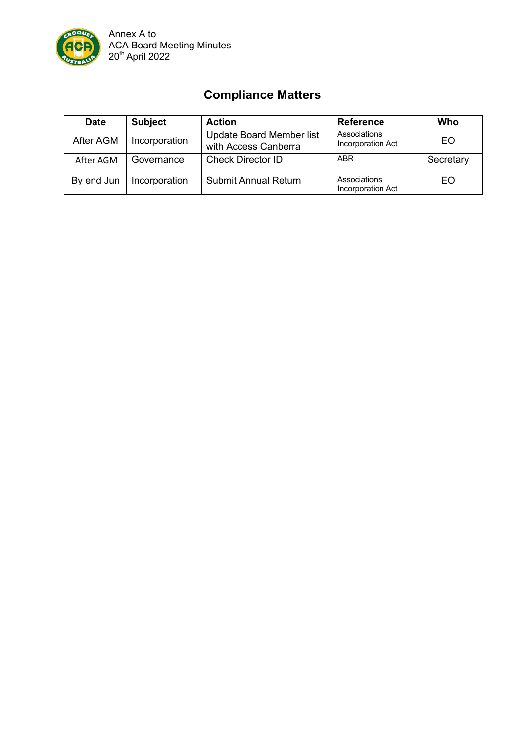

# **Compliance Matters**

| <b>Date</b> | <b>Subject</b> | <b>Action</b>                                           | <b>Reference</b>                  | Who       |
|-------------|----------------|---------------------------------------------------------|-----------------------------------|-----------|
| After AGM   | Incorporation  | <b>Update Board Member list</b><br>with Access Canberra | Associations<br>Incorporation Act | EO        |
| After AGM   | Governance     | <b>Check Director ID</b>                                | <b>ABR</b>                        | Secretary |
| By end Jun  | Incorporation  | <b>Submit Annual Return</b>                             | Associations<br>Incorporation Act | EO        |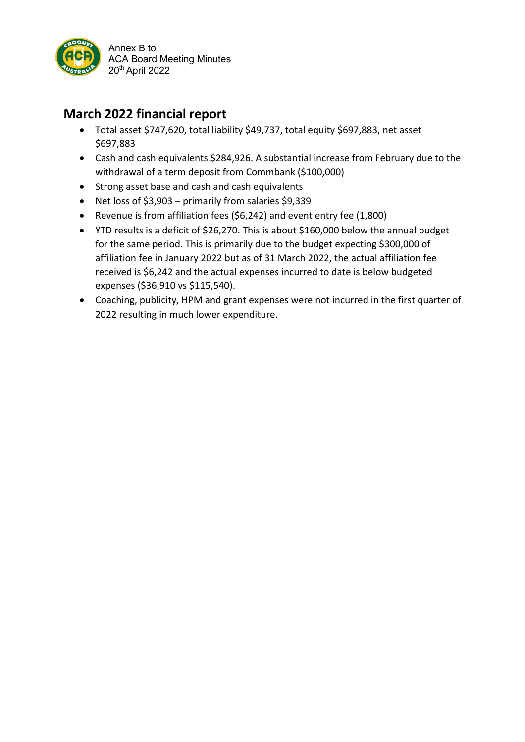

# **March 2022 financial report**

- Total asset \$747,620, total liability \$49,737, total equity \$697,883, net asset \$697,883
- Cash and cash equivalents \$284,926. A substantial increase from February due to the withdrawal of a term deposit from Commbank (\$100,000)
- Strong asset base and cash and cash equivalents
- Net loss of \$3,903 primarily from salaries \$9,339
- Revenue is from affiliation fees (\$6,242) and event entry fee (1,800)
- YTD results is a deficit of \$26,270. This is about \$160,000 below the annual budget for the same period. This is primarily due to the budget expecting \$300,000 of affiliation fee in January 2022 but as of 31 March 2022, the actual affiliation fee received is \$6,242 and the actual expenses incurred to date is below budgeted expenses (\$36,910 vs \$115,540).
- Coaching, publicity, HPM and grant expenses were not incurred in the first quarter of 2022 resulting in much lower expenditure.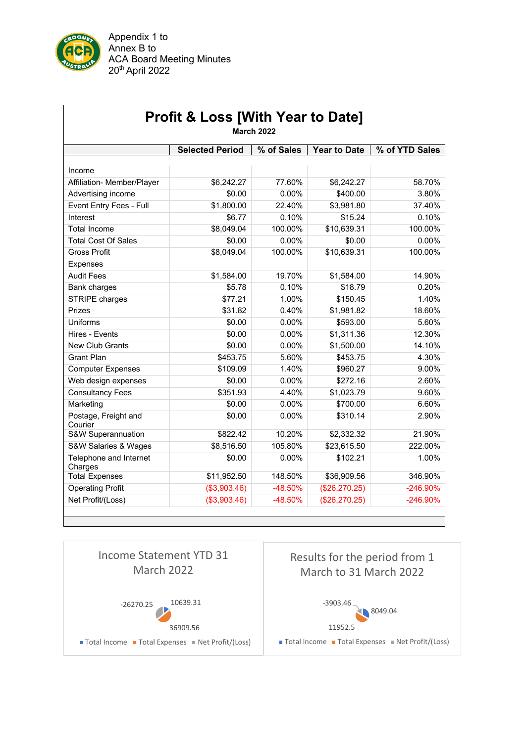

Appendix 1 to Annex B to ACA Board Meeting Minutes 20th April 2022

| <b>Selected Period</b><br><b>Year to Date</b><br>% of YTD Sales<br>% of Sales<br>Income<br>Affiliation- Member/Player<br>\$6,242.27<br>77.60%<br>\$6,242.27<br>\$0.00<br>$0.00\%$<br>\$400.00<br>Advertising income<br>\$1,800.00<br>\$3,981.80<br>Event Entry Fees - Full<br>22.40%<br>Interest<br>\$6.77<br>0.10%<br>\$15.24<br>\$8,049.04<br>100.00%<br>\$10,639.31<br><b>Total Income</b><br><b>Total Cost Of Sales</b><br>\$0.00<br>$0.00\%$<br>\$0.00<br><b>Gross Profit</b><br>\$8,049.04<br>100.00%<br>\$10,639.31<br><b>Expenses</b><br><b>Audit Fees</b><br>\$1,584.00<br>19.70%<br>\$1,584.00<br>\$5.78<br>0.10%<br>\$18.79<br>Bank charges<br>\$77.21<br>\$150.45<br>STRIPE charges<br>1.00%<br>Prizes<br>\$31.82<br>0.40%<br>\$1,981.82 | <b>March 2022</b> |  |  |  |  |  |  |  |
|------------------------------------------------------------------------------------------------------------------------------------------------------------------------------------------------------------------------------------------------------------------------------------------------------------------------------------------------------------------------------------------------------------------------------------------------------------------------------------------------------------------------------------------------------------------------------------------------------------------------------------------------------------------------------------------------------------------------------------------------------|-------------------|--|--|--|--|--|--|--|
|                                                                                                                                                                                                                                                                                                                                                                                                                                                                                                                                                                                                                                                                                                                                                      |                   |  |  |  |  |  |  |  |
|                                                                                                                                                                                                                                                                                                                                                                                                                                                                                                                                                                                                                                                                                                                                                      |                   |  |  |  |  |  |  |  |
|                                                                                                                                                                                                                                                                                                                                                                                                                                                                                                                                                                                                                                                                                                                                                      |                   |  |  |  |  |  |  |  |
|                                                                                                                                                                                                                                                                                                                                                                                                                                                                                                                                                                                                                                                                                                                                                      | 58.70%            |  |  |  |  |  |  |  |
|                                                                                                                                                                                                                                                                                                                                                                                                                                                                                                                                                                                                                                                                                                                                                      | 3.80%             |  |  |  |  |  |  |  |
|                                                                                                                                                                                                                                                                                                                                                                                                                                                                                                                                                                                                                                                                                                                                                      | 37.40%            |  |  |  |  |  |  |  |
|                                                                                                                                                                                                                                                                                                                                                                                                                                                                                                                                                                                                                                                                                                                                                      | 0.10%             |  |  |  |  |  |  |  |
|                                                                                                                                                                                                                                                                                                                                                                                                                                                                                                                                                                                                                                                                                                                                                      | 100.00%           |  |  |  |  |  |  |  |
|                                                                                                                                                                                                                                                                                                                                                                                                                                                                                                                                                                                                                                                                                                                                                      | 0.00%             |  |  |  |  |  |  |  |
|                                                                                                                                                                                                                                                                                                                                                                                                                                                                                                                                                                                                                                                                                                                                                      | 100.00%           |  |  |  |  |  |  |  |
|                                                                                                                                                                                                                                                                                                                                                                                                                                                                                                                                                                                                                                                                                                                                                      |                   |  |  |  |  |  |  |  |
|                                                                                                                                                                                                                                                                                                                                                                                                                                                                                                                                                                                                                                                                                                                                                      | 14.90%            |  |  |  |  |  |  |  |
|                                                                                                                                                                                                                                                                                                                                                                                                                                                                                                                                                                                                                                                                                                                                                      | 0.20%             |  |  |  |  |  |  |  |
|                                                                                                                                                                                                                                                                                                                                                                                                                                                                                                                                                                                                                                                                                                                                                      | 1.40%             |  |  |  |  |  |  |  |
|                                                                                                                                                                                                                                                                                                                                                                                                                                                                                                                                                                                                                                                                                                                                                      | 18.60%            |  |  |  |  |  |  |  |
| <b>Uniforms</b><br>0.00%<br>\$0.00<br>\$593.00                                                                                                                                                                                                                                                                                                                                                                                                                                                                                                                                                                                                                                                                                                       | 5.60%             |  |  |  |  |  |  |  |
| \$0.00<br>0.00%<br>\$1,311.36<br>Hires - Events                                                                                                                                                                                                                                                                                                                                                                                                                                                                                                                                                                                                                                                                                                      | 12.30%            |  |  |  |  |  |  |  |
| \$0.00<br><b>New Club Grants</b><br>0.00%<br>\$1,500.00                                                                                                                                                                                                                                                                                                                                                                                                                                                                                                                                                                                                                                                                                              | 14.10%            |  |  |  |  |  |  |  |
| Grant Plan<br>\$453.75<br>5.60%<br>\$453.75                                                                                                                                                                                                                                                                                                                                                                                                                                                                                                                                                                                                                                                                                                          | 4.30%             |  |  |  |  |  |  |  |
| \$109.09<br>1.40%<br>\$960.27<br><b>Computer Expenses</b>                                                                                                                                                                                                                                                                                                                                                                                                                                                                                                                                                                                                                                                                                            | 9.00%             |  |  |  |  |  |  |  |
| Web design expenses<br>\$0.00<br>$0.00\%$<br>\$272.16                                                                                                                                                                                                                                                                                                                                                                                                                                                                                                                                                                                                                                                                                                | 2.60%             |  |  |  |  |  |  |  |
| \$351.93<br>4.40%<br>\$1,023.79<br><b>Consultancy Fees</b>                                                                                                                                                                                                                                                                                                                                                                                                                                                                                                                                                                                                                                                                                           | 9.60%             |  |  |  |  |  |  |  |
| Marketing<br>\$0.00<br>0.00%<br>\$700.00                                                                                                                                                                                                                                                                                                                                                                                                                                                                                                                                                                                                                                                                                                             | 6.60%             |  |  |  |  |  |  |  |
| \$310.14<br>Postage, Freight and<br>\$0.00<br>0.00%<br>Courier                                                                                                                                                                                                                                                                                                                                                                                                                                                                                                                                                                                                                                                                                       | 2.90%             |  |  |  |  |  |  |  |
| \$822.42<br>10.20%<br>S&W Superannuation<br>\$2,332.32                                                                                                                                                                                                                                                                                                                                                                                                                                                                                                                                                                                                                                                                                               | 21.90%            |  |  |  |  |  |  |  |
| S&W Salaries & Wages<br>\$8,516.50<br>105.80%<br>\$23,615.50                                                                                                                                                                                                                                                                                                                                                                                                                                                                                                                                                                                                                                                                                         | 222.00%           |  |  |  |  |  |  |  |
| Telephone and Internet<br>\$0.00<br>0.00%<br>\$102.21<br>Charges                                                                                                                                                                                                                                                                                                                                                                                                                                                                                                                                                                                                                                                                                     | 1.00%             |  |  |  |  |  |  |  |
| <b>Total Expenses</b><br>\$11,952.50<br>148.50%<br>\$36,909.56                                                                                                                                                                                                                                                                                                                                                                                                                                                                                                                                                                                                                                                                                       | 346.90%           |  |  |  |  |  |  |  |
| <b>Operating Profit</b><br>(\$3,903.46)<br>-48.50%<br>(\$26,270.25)                                                                                                                                                                                                                                                                                                                                                                                                                                                                                                                                                                                                                                                                                  | -246.90%          |  |  |  |  |  |  |  |
| Net Profit/(Loss)<br>(\$3,903.46)<br>-48.50%<br>(\$26,270.25)                                                                                                                                                                                                                                                                                                                                                                                                                                                                                                                                                                                                                                                                                        | -246.90%          |  |  |  |  |  |  |  |

# **Profit & Loss [With Year to Date]**

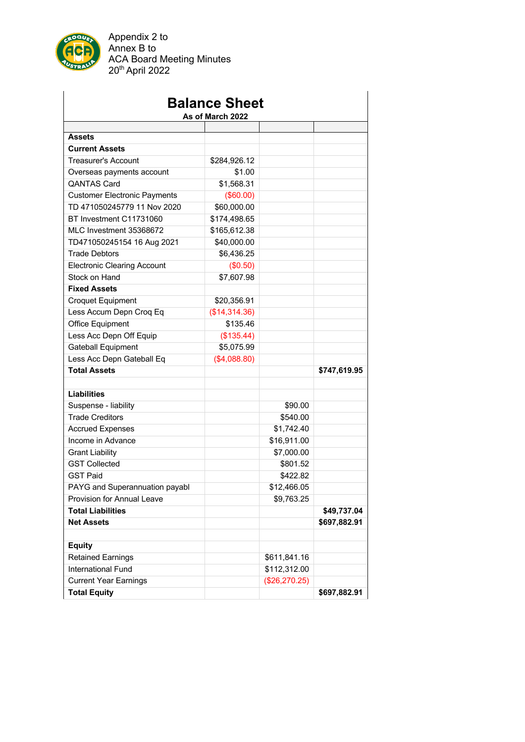

Appendix 2 to Annex B to ACA Board Meeting Minutes 20th April 2022

| <b>Balance Sheet</b><br>As of March 2022 |               |               |              |  |  |  |
|------------------------------------------|---------------|---------------|--------------|--|--|--|
|                                          |               |               |              |  |  |  |
| <b>Assets</b>                            |               |               |              |  |  |  |
| <b>Current Assets</b>                    |               |               |              |  |  |  |
| <b>Treasurer's Account</b>               | \$284,926.12  |               |              |  |  |  |
| Overseas payments account                | \$1.00        |               |              |  |  |  |
| <b>QANTAS Card</b>                       | \$1,568.31    |               |              |  |  |  |
| <b>Customer Electronic Payments</b>      | (\$60.00)     |               |              |  |  |  |
| TD 471050245779 11 Nov 2020              | \$60,000.00   |               |              |  |  |  |
| BT Investment C11731060                  | \$174,498.65  |               |              |  |  |  |
| MLC Investment 35368672                  | \$165,612.38  |               |              |  |  |  |
| TD471050245154 16 Aug 2021               | \$40,000.00   |               |              |  |  |  |
| <b>Trade Debtors</b>                     | \$6,436.25    |               |              |  |  |  |
| <b>Electronic Clearing Account</b>       | (\$0.50)      |               |              |  |  |  |
| Stock on Hand                            | \$7,607.98    |               |              |  |  |  |
| <b>Fixed Assets</b>                      |               |               |              |  |  |  |
| <b>Croquet Equipment</b>                 | \$20,356.91   |               |              |  |  |  |
| Less Accum Depn Croq Eq                  | (\$14,314.36) |               |              |  |  |  |
| Office Equipment                         | \$135.46      |               |              |  |  |  |
| Less Acc Depn Off Equip                  | (\$135.44)    |               |              |  |  |  |
| <b>Gateball Equipment</b>                | \$5,075.99    |               |              |  |  |  |
| Less Acc Depn Gateball Eq                | (\$4,088.80)  |               |              |  |  |  |
| <b>Total Assets</b>                      |               |               | \$747,619.95 |  |  |  |
|                                          |               |               |              |  |  |  |
| <b>Liabilities</b>                       |               |               |              |  |  |  |
| Suspense - liability                     |               | \$90.00       |              |  |  |  |
| <b>Trade Creditors</b>                   |               | \$540.00      |              |  |  |  |
| <b>Accrued Expenses</b>                  |               | \$1,742.40    |              |  |  |  |
| Income in Advance                        |               | \$16,911.00   |              |  |  |  |
| <b>Grant Liability</b>                   |               | \$7,000.00    |              |  |  |  |
| <b>GST Collected</b>                     |               | \$801.52      |              |  |  |  |
| <b>GST Paid</b>                          |               | \$422.82      |              |  |  |  |
| PAYG and Superannuation payabl           |               | \$12,466.05   |              |  |  |  |
| Provision for Annual Leave               |               | \$9,763.25    |              |  |  |  |
| <b>Total Liabilities</b>                 |               |               | \$49,737.04  |  |  |  |
| <b>Net Assets</b>                        |               |               | \$697,882.91 |  |  |  |
|                                          |               |               |              |  |  |  |
| <b>Equity</b>                            |               |               |              |  |  |  |
| <b>Retained Earnings</b>                 |               | \$611,841.16  |              |  |  |  |
| <b>International Fund</b>                |               | \$112,312.00  |              |  |  |  |
| <b>Current Year Earnings</b>             |               | (\$26,270.25) |              |  |  |  |
| <b>Total Equity</b>                      |               |               | \$697,882.91 |  |  |  |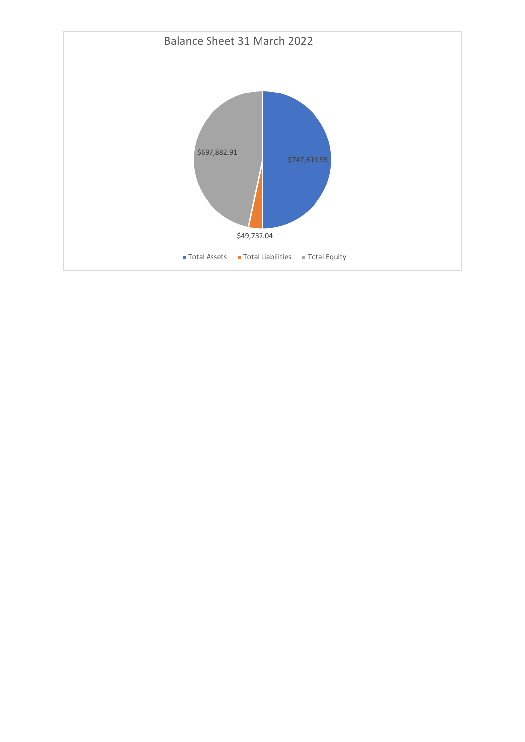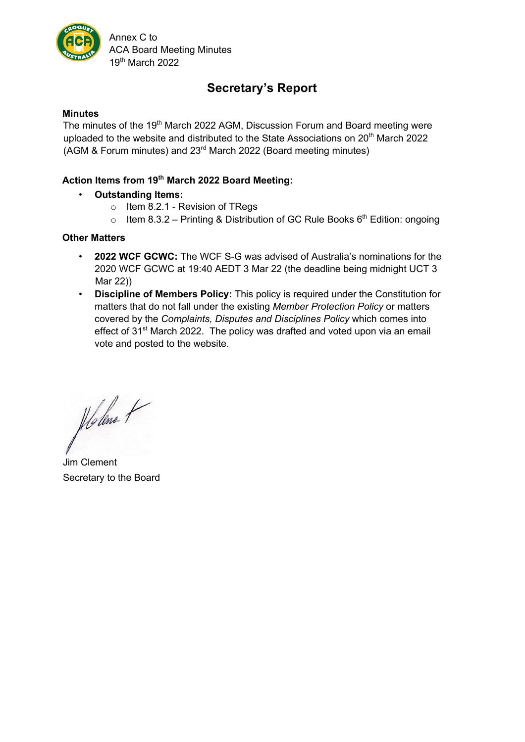

Annex C to ACA Board Meeting Minutes 19th March 2022

# **Secretary's Report**

### **Minutes**

The minutes of the 19<sup>th</sup> March 2022 AGM, Discussion Forum and Board meeting were uploaded to the website and distributed to the State Associations on 20<sup>th</sup> March 2022 (AGM & Forum minutes) and 23rd March 2022 (Board meeting minutes)

### **Action Items from 19th March 2022 Board Meeting:**

- **Outstanding Items:** 
	- o Item 8.2.1 Revision of TRegs
	- o Item 8.3.2 Printing & Distribution of GC Rule Books  $6<sup>th</sup>$  Edition: ongoing

### **Other Matters**

- **2022 WCF GCWC:** The WCF S-G was advised of Australia's nominations for the 2020 WCF GCWC at 19:40 AEDT 3 Mar 22 (the deadline being midnight UCT 3 Mar 22))
- **Discipline of Members Policy:** This policy is required under the Constitution for matters that do not fall under the existing *Member Protection Policy* or matters covered by the *Complaints, Disputes and Disciplines Policy* which comes into effect of 31<sup>st</sup> March 2022. The policy was drafted and voted upon via an email vote and posted to the website.

Holme P

Jim Clement Secretary to the Board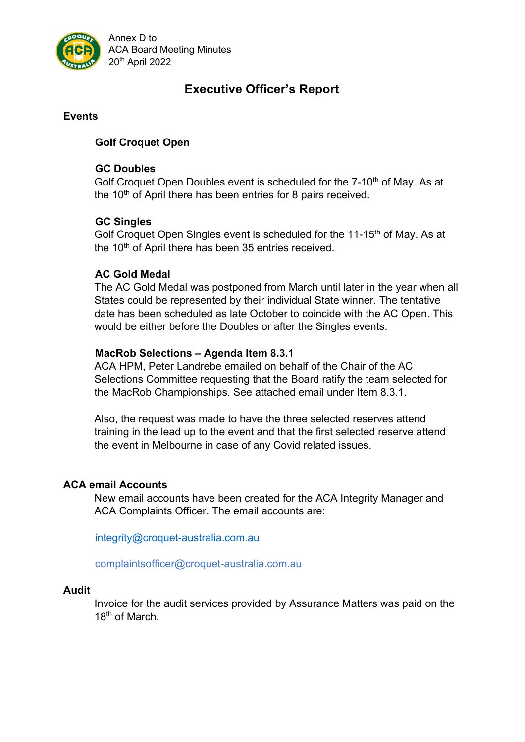

Annex D to ACA Board Meeting Minutes 20th April 2022

# **Executive Officer's Report**

### **Events**

# **Golf Croquet Open**

## **GC Doubles**

Golf Croquet Open Doubles event is scheduled for the 7-10<sup>th</sup> of May. As at the  $10<sup>th</sup>$  of April there has been entries for 8 pairs received.

# **GC Singles**

Golf Croquet Open Singles event is scheduled for the 11-15<sup>th</sup> of May. As at the  $10<sup>th</sup>$  of April there has been 35 entries received.

## **AC Gold Medal**

The AC Gold Medal was postponed from March until later in the year when all States could be represented by their individual State winner. The tentative date has been scheduled as late October to coincide with the AC Open. This would be either before the Doubles or after the Singles events.

## **MacRob Selections – Agenda Item 8.3.1**

ACA HPM, Peter Landrebe emailed on behalf of the Chair of the AC Selections Committee requesting that the Board ratify the team selected for the MacRob Championships. See attached email under Item 8.3.1.

Also, the request was made to have the three selected reserves attend training in the lead up to the event and that the first selected reserve attend the event in Melbourne in case of any Covid related issues.

### **ACA email Accounts**

New email accounts have been created for the ACA Integrity Manager and ACA Complaints Officer. The email accounts are:

integrity@croquet-australia.com.au

complaintsofficer@croquet-australia.com.au

### **Audit**

Invoice for the audit services provided by Assurance Matters was paid on the 18<sup>th</sup> of March.